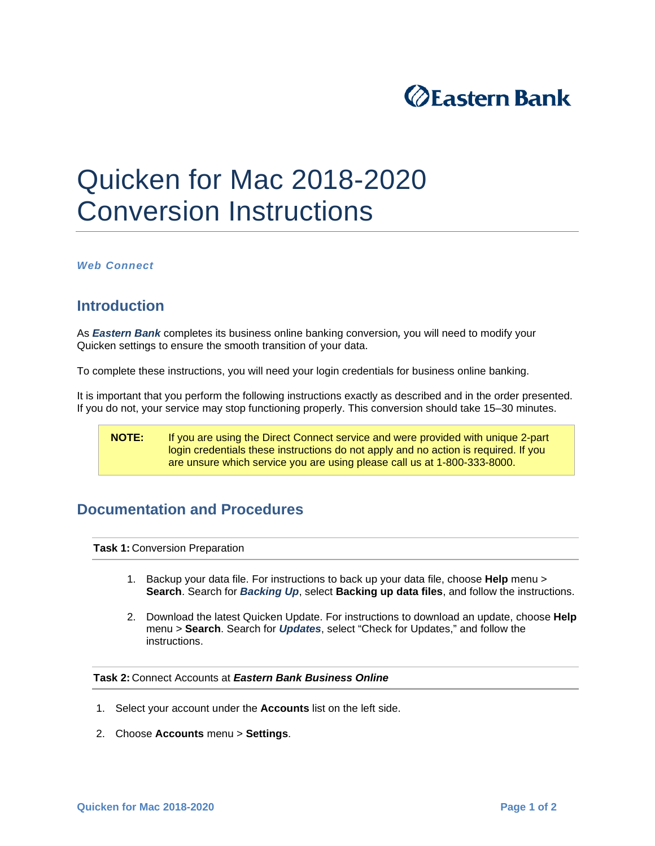

## Quicken for Mac 2018-2020 Conversion Instructions

*Web Connect* 

## **Introduction**

As *Eastern Bank* completes its business online banking conversion*,* you will need to modify your Quicken settings to ensure the smooth transition of your data.

To complete these instructions, you will need your login credentials for business online banking.

It is important that you perform the following instructions exactly as described and in the order presented. If you do not, your service may stop functioning properly. This conversion should take 15–30 minutes.

**NOTE:** If you are using the Direct Connect service and were provided with unique 2-part login credentials these instructions do not apply and no action is required. If you are unsure which service you are using please call us at 1-800-333-8000.

## **Documentation and Procedures**

**Task 1: Conversion Preparation** 

- 1. Backup your data file. For instructions to back up your data file, choose **Help** menu > **Search**. Search for *Backing Up*, select **Backing up data files**, and follow the instructions.
- 2. Download the latest Quicken Update. For instructions to download an update, choose **Help** menu > **Search**. Search for *Updates*, select "Check for Updates," and follow the instructions.

**Task 2:** Connect Accounts at *Eastern Bank Business Online*

- 1. Select your account under the **Accounts** list on the left side.
- 2. Choose **Accounts** menu > **Settings**.